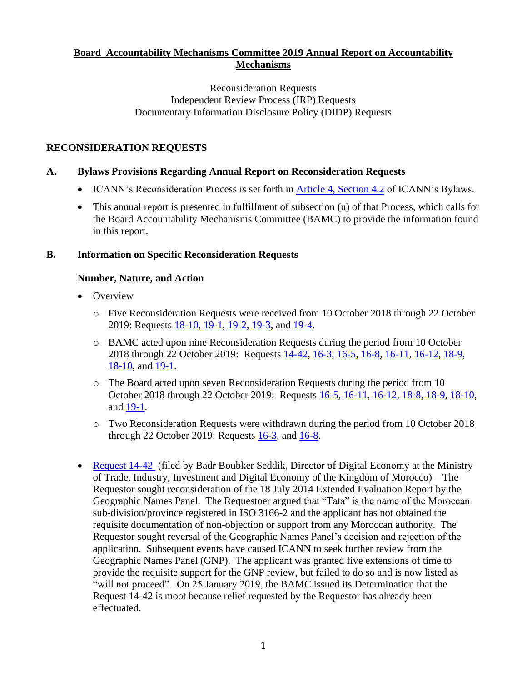## **Board Accountability Mechanisms Committee 2019 Annual Report on Accountability Mechanisms**

#### Reconsideration Requests Independent Review Process (IRP) Requests Documentary Information Disclosure Policy (DIDP) Requests

## **RECONSIDERATION REQUESTS**

## **A. Bylaws Provisions Regarding Annual Report on Reconsideration Requests**

- ICANN's Reconsideration Process is set forth in [Article 4, Section 4.2](https://www.icann.org/resources/pages/governance/bylaws-en/#article4) of ICANN's Bylaws.
- This annual report is presented in fulfillment of subsection (u) of that Process, which calls for the Board Accountability Mechanisms Committee (BAMC) to provide the information found in this report.

## **B. Information on Specific Reconsideration Requests**

# **Number, Nature, and Action**

- Overview
	- o Five Reconsideration Requests were received from 10 October 2018 through 22 October 2019: Requests [18-10,](https://www.icann.org/resources/pages/reconsideration-18-10-acto-request-2018-11-29-en) [19-1,](https://www.icann.org/resources/pages/reconsideration-19-1-colombian-request-2019-06-18-en) [19-2,](https://www.icann.org/resources/pages/reconsideration-19-2-namecheap-request-2019-07-22-en) [19-3,](https://www.icann.org/resources/pages/reconsideration-19-3-electronic-frontier-request-2019-08-01-en) and [19-4.](https://www.icann.org/resources/pages/reconsideration-19-4-merck-kgaa-request-2019-10-15-en)
	- o BAMC acted upon nine Reconsideration Requests during the period from 10 October 2018 through 22 October 2019: Requests  $14-42$ ,  $16-3$ ,  $16-5$ ,  $16-8$ ,  $16-11$ ,  $16-12$ ,  $18-9$ , [18-10,](https://www.icann.org/resources/pages/reconsideration-18-10-acto-request-2018-11-29-en) and [19-1.](https://www.icann.org/resources/pages/reconsideration-19-1-colombian-request-2019-06-18-en)
	- o The Board acted upon seven Reconsideration Requests during the period from 10 October 2018 through 22 October 2019: Requests [16-5,](https://www.icann.org/resources/pages/reconsideration-16-5-dotmusic-request-2016-02-25-en) [16-11,](https://www.icann.org/resources/pages/reconsideration-16-11-trs-et-al-request-2016-08-25-en) [16-12,](https://www.icann.org/resources/pages/reconsideration-16-12-merck-kgaa-request-2016-08-25-en) [18-8,](https://www.icann.org/resources/pages/reconsideration-18-8-afilias-no3-request-2018-06-29-en) [18-9,](https://www.icann.org/resources/pages/reconsideration-18-9-dotkids-request-2018-09-21-en) [18-10,](https://www.icann.org/resources/pages/reconsideration-18-10-acto-request-2018-11-29-en) and [19-1.](https://www.icann.org/resources/pages/reconsideration-19-1-colombian-request-2019-06-18-en)
	- o Two Reconsideration Requests were withdrawn during the period from 10 October 2018 through 22 October 2019: Requests  $16-3$ , and  $16-8$ .
- [Request 14-42](https://www.icann.org/resources/pages/14-42-2014-09-30-en) (filed by Badr Boubker Seddik, Director of Digital Economy at the Ministry of Trade, Industry, Investment and Digital Economy of the Kingdom of Morocco) – The Requestor sought reconsideration of the 18 July 2014 Extended Evaluation Report by the Geographic Names Panel. The Requestoer argued that "Tata" is the name of the Moroccan sub-division/province registered in ISO 3166-2 and the applicant has not obtained the requisite documentation of non-objection or support from any Moroccan authority. The Requestor sought reversal of the Geographic Names Panel's decision and rejection of the application. Subsequent events have caused ICANN to seek further review from the Geographic Names Panel (GNP). The applicant was granted five extensions of time to provide the requisite support for the GNP review, but failed to do so and is now listed as "will not proceed". On 25 January 2019, the BAMC issued its Determination that the Request 14-42 is moot because relief requested by the Requestor has already been effectuated.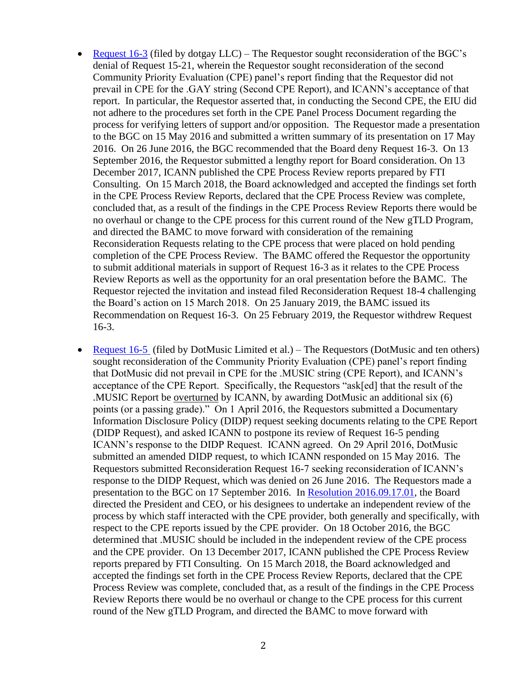- [Request 16-3](https://www.icann.org/resources/pages/reconsideration-16-3-dotgay-request-2016-02-18-en) (filed by dotgay LLC) The Requestor sought reconsideration of the BGC's denial of Request 15-21, wherein the Requestor sought reconsideration of the second Community Priority Evaluation (CPE) panel's report finding that the Requestor did not prevail in CPE for the .GAY string (Second CPE Report), and ICANN's acceptance of that report. In particular, the Requestor asserted that, in conducting the Second CPE, the EIU did not adhere to the procedures set forth in the CPE Panel Process Document regarding the process for verifying letters of support and/or opposition. The Requestor made a presentation to the BGC on 15 May 2016 and submitted a written summary of its presentation on 17 May 2016. On 26 June 2016, the BGC recommended that the Board deny Request 16-3. On 13 September 2016, the Requestor submitted a lengthy report for Board consideration. On 13 December 2017, ICANN published the CPE Process Review reports prepared by FTI Consulting. On 15 March 2018, the Board acknowledged and accepted the findings set forth in the CPE Process Review Reports, declared that the CPE Process Review was complete, concluded that, as a result of the findings in the CPE Process Review Reports there would be no overhaul or change to the CPE process for this current round of the New gTLD Program, and directed the BAMC to move forward with consideration of the remaining Reconsideration Requests relating to the CPE process that were placed on hold pending completion of the CPE Process Review. The BAMC offered the Requestor the opportunity to submit additional materials in support of Request 16-3 as it relates to the CPE Process Review Reports as well as the opportunity for an oral presentation before the BAMC. The Requestor rejected the invitation and instead filed Reconsideration Request 18-4 challenging the Board's action on 15 March 2018. On 25 January 2019, the BAMC issued its Recommendation on Request 16-3. On 25 February 2019, the Requestor withdrew Request 16-3.
- [Request 16-5](https://www.icann.org/resources/pages/reconsideration-16-5-dotmusic-request-2016-02-25-en) (filed by DotMusic Limited et al.) The Requestors (DotMusic and ten others) sought reconsideration of the Community Priority Evaluation (CPE) panel's report finding that DotMusic did not prevail in CPE for the .MUSIC string (CPE Report), and ICANN's acceptance of the CPE Report. Specifically, the Requestors "ask[ed] that the result of the .MUSIC Report be overturned by ICANN, by awarding DotMusic an additional six (6) points (or a passing grade)." On 1 April 2016, the Requestors submitted a Documentary Information Disclosure Policy (DIDP) request seeking documents relating to the CPE Report (DIDP Request), and asked ICANN to postpone its review of Request 16-5 pending ICANN's response to the DIDP Request. ICANN agreed. On 29 April 2016, DotMusic submitted an amended DIDP request, to which ICANN responded on 15 May 2016. The Requestors submitted Reconsideration Request 16-7 seeking reconsideration of ICANN's response to the DIDP Request, which was denied on 26 June 2016. The Requestors made a presentation to the BGC on 17 September 2016. In [Resolution 2016.09.17.01,](https://www.icann.org/resources/board-material/minutes-2016-09-17-en) the Board directed the President and CEO, or his designees to undertake an independent review of the process by which staff interacted with the CPE provider, both generally and specifically, with respect to the CPE reports issued by the CPE provider. On 18 October 2016, the BGC determined that .MUSIC should be included in the independent review of the CPE process and the CPE provider. On 13 December 2017, ICANN published the CPE Process Review reports prepared by FTI Consulting. On 15 March 2018, the Board acknowledged and accepted the findings set forth in the CPE Process Review Reports, declared that the CPE Process Review was complete, concluded that, as a result of the findings in the CPE Process Review Reports there would be no overhaul or change to the CPE process for this current round of the New gTLD Program, and directed the BAMC to move forward with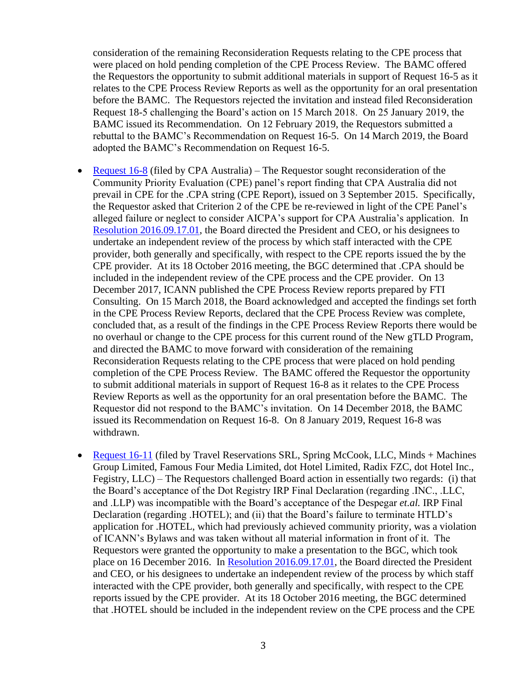consideration of the remaining Reconsideration Requests relating to the CPE process that were placed on hold pending completion of the CPE Process Review. The BAMC offered the Requestors the opportunity to submit additional materials in support of Request 16-5 as it relates to the CPE Process Review Reports as well as the opportunity for an oral presentation before the BAMC. The Requestors rejected the invitation and instead filed Reconsideration Request 18-5 challenging the Board's action on 15 March 2018. On 25 January 2019, the BAMC issued its Recommendation. On 12 February 2019, the Requestors submitted a rebuttal to the BAMC's Recommendation on Request 16-5. On 14 March 2019, the Board adopted the BAMC's Recommendation on Request 16-5.

- [Request 16-8](https://www.icann.org/resources/pages/reconsideration-16-8-cpa-australia-request-2016-07-18-en) (filed by CPA Australia) The Requestor sought reconsideration of the Community Priority Evaluation (CPE) panel's report finding that CPA Australia did not prevail in CPE for the .CPA string (CPE Report), issued on 3 September 2015. Specifically, the Requestor asked that Criterion 2 of the CPE be re-reviewed in light of the CPE Panel's alleged failure or neglect to consider AICPA's support for CPA Australia's application. In [Resolution 2016.09.17.01,](https://www.icann.org/resources/board-material/minutes-2016-09-17-en) the Board directed the President and CEO, or his designees to undertake an independent review of the process by which staff interacted with the CPE provider, both generally and specifically, with respect to the CPE reports issued the by the CPE provider. At its 18 October 2016 meeting, the BGC determined that .CPA should be included in the independent review of the CPE process and the CPE provider. On 13 December 2017, ICANN published the CPE Process Review reports prepared by FTI Consulting. On 15 March 2018, the Board acknowledged and accepted the findings set forth in the CPE Process Review Reports, declared that the CPE Process Review was complete, concluded that, as a result of the findings in the CPE Process Review Reports there would be no overhaul or change to the CPE process for this current round of the New gTLD Program, and directed the BAMC to move forward with consideration of the remaining Reconsideration Requests relating to the CPE process that were placed on hold pending completion of the CPE Process Review. The BAMC offered the Requestor the opportunity to submit additional materials in support of Request 16-8 as it relates to the CPE Process Review Reports as well as the opportunity for an oral presentation before the BAMC. The Requestor did not respond to the BAMC's invitation. On 14 December 2018, the BAMC issued its Recommendation on Request 16-8. On 8 January 2019, Request 16-8 was withdrawn.
- [Request 16-11](https://www.icann.org/resources/pages/reconsideration-16-11-trs-et-al-request-2016-08-25-en) (filed by Travel Reservations SRL, Spring McCook, LLC, Minds + Machines Group Limited, Famous Four Media Limited, dot Hotel Limited, Radix FZC, dot Hotel Inc., Fegistry, LLC) – The Requestors challenged Board action in essentially two regards: (i) that the Board's acceptance of the Dot Registry IRP Final Declaration (regarding .INC., .LLC, and .LLP) was incompatible with the Board's acceptance of the Despegar *et.al.* IRP Final Declaration (regarding .HOTEL); and (ii) that the Board's failure to terminate HTLD's application for .HOTEL, which had previously achieved community priority, was a violation of ICANN's Bylaws and was taken without all material information in front of it. The Requestors were granted the opportunity to make a presentation to the BGC, which took place on 16 December 2016. In [Resolution 2016.09.17.01,](https://www.icann.org/resources/board-material/minutes-2016-09-17-en) the Board directed the President and CEO, or his designees to undertake an independent review of the process by which staff interacted with the CPE provider, both generally and specifically, with respect to the CPE reports issued by the CPE provider. At its 18 October 2016 meeting, the BGC determined that .HOTEL should be included in the independent review on the CPE process and the CPE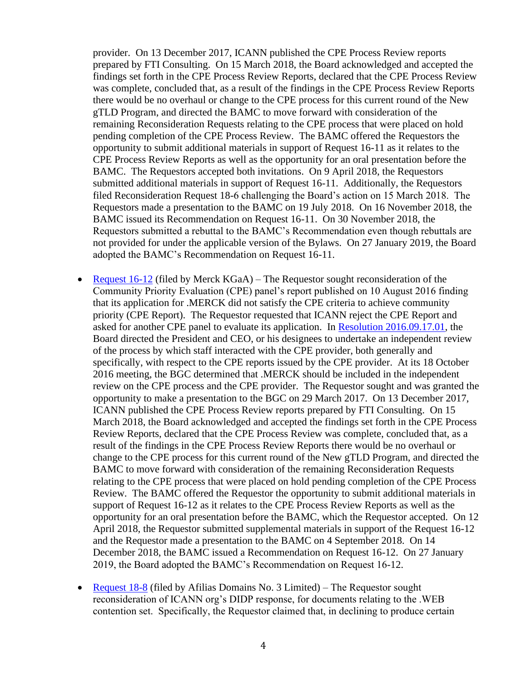provider. On 13 December 2017, ICANN published the CPE Process Review reports prepared by FTI Consulting. On 15 March 2018, the Board acknowledged and accepted the findings set forth in the CPE Process Review Reports, declared that the CPE Process Review was complete, concluded that, as a result of the findings in the CPE Process Review Reports there would be no overhaul or change to the CPE process for this current round of the New gTLD Program, and directed the BAMC to move forward with consideration of the remaining Reconsideration Requests relating to the CPE process that were placed on hold pending completion of the CPE Process Review. The BAMC offered the Requestors the opportunity to submit additional materials in support of Request 16-11 as it relates to the CPE Process Review Reports as well as the opportunity for an oral presentation before the BAMC. The Requestors accepted both invitations. On 9 April 2018, the Requestors submitted additional materials in support of Request 16-11. Additionally, the Requestors filed Reconsideration Request 18-6 challenging the Board's action on 15 March 2018. The Requestors made a presentation to the BAMC on 19 July 2018. On 16 November 2018, the BAMC issued its Recommendation on Request 16-11. On 30 November 2018, the Requestors submitted a rebuttal to the BAMC's Recommendation even though rebuttals are not provided for under the applicable version of the Bylaws. On 27 January 2019, the Board adopted the BAMC's Recommendation on Request 16-11.

- [Request 16-12](https://www.icann.org/resources/pages/reconsideration-16-12-merck-kgaa-request-2016-08-25-en) (filed by Merck KGaA) The Requestor sought reconsideration of the Community Priority Evaluation (CPE) panel's report published on 10 August 2016 finding that its application for .MERCK did not satisfy the CPE criteria to achieve community priority (CPE Report). The Requestor requested that ICANN reject the CPE Report and asked for another CPE panel to evaluate its application. In [Resolution 2016.09.17.01,](https://www.icann.org/resources/board-material/minutes-2016-09-17-en) the Board directed the President and CEO, or his designees to undertake an independent review of the process by which staff interacted with the CPE provider, both generally and specifically, with respect to the CPE reports issued by the CPE provider. At its 18 October 2016 meeting, the BGC determined that .MERCK should be included in the independent review on the CPE process and the CPE provider. The Requestor sought and was granted the opportunity to make a presentation to the BGC on 29 March 2017. On 13 December 2017, ICANN published the CPE Process Review reports prepared by FTI Consulting. On 15 March 2018, the Board acknowledged and accepted the findings set forth in the CPE Process Review Reports, declared that the CPE Process Review was complete, concluded that, as a result of the findings in the CPE Process Review Reports there would be no overhaul or change to the CPE process for this current round of the New gTLD Program, and directed the BAMC to move forward with consideration of the remaining Reconsideration Requests relating to the CPE process that were placed on hold pending completion of the CPE Process Review. The BAMC offered the Requestor the opportunity to submit additional materials in support of Request 16-12 as it relates to the CPE Process Review Reports as well as the opportunity for an oral presentation before the BAMC, which the Requestor accepted. On 12 April 2018, the Requestor submitted supplemental materials in support of the Request 16-12 and the Requestor made a presentation to the BAMC on 4 September 2018. On 14 December 2018, the BAMC issued a Recommendation on Request 16-12. On 27 January 2019, the Board adopted the BAMC's Recommendation on Request 16-12.
- [Request 18-8](https://www.icann.org/resources/pages/reconsideration-18-8-afilias-no3-request-2018-06-29-en) (filed by Afilias Domains No. 3 Limited) The Requestor sought reconsideration of ICANN org's DIDP response, for documents relating to the .WEB contention set. Specifically, the Requestor claimed that, in declining to produce certain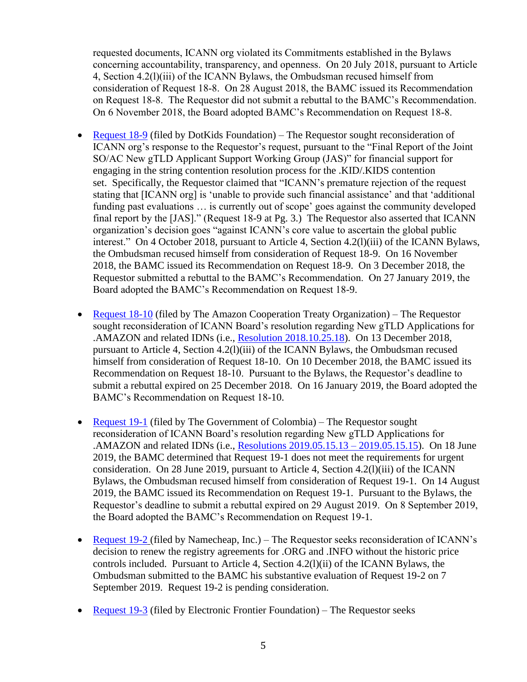requested documents, ICANN org violated its Commitments established in the Bylaws concerning accountability, transparency, and openness. On 20 July 2018, pursuant to Article 4, Section 4.2(l)(iii) of the ICANN Bylaws, the Ombudsman recused himself from consideration of Request 18-8. On 28 August 2018, the BAMC issued its Recommendation on Request 18-8. The Requestor did not submit a rebuttal to the BAMC's Recommendation. On 6 November 2018, the Board adopted BAMC's Recommendation on Request 18-8.

- [Request 18-9](https://www.icann.org/resources/pages/reconsideration-18-9-dotkids-request-2018-09-21-en) (filed by DotKids Foundation) The Requestor sought reconsideration of ICANN org's response to the Requestor's request, pursuant to the "Final Report of the Joint SO/AC New gTLD Applicant Support Working Group (JAS)" for financial support for engaging in the string contention resolution process for the .KID/.KIDS contention set. Specifically, the Requestor claimed that "ICANN's premature rejection of the request stating that [ICANN org] is 'unable to provide such financial assistance' and that 'additional funding past evaluations … is currently out of scope' goes against the community developed final report by the [JAS]." (Request 18-9 at Pg. 3.) The Requestor also asserted that ICANN organization's decision goes "against ICANN's core value to ascertain the global public interest." On 4 October 2018, pursuant to Article 4, Section 4.2(l)(iii) of the ICANN Bylaws, the Ombudsman recused himself from consideration of Request 18-9. On 16 November 2018, the BAMC issued its Recommendation on Request 18-9. On 3 December 2018, the Requestor submitted a rebuttal to the BAMC's Recommendation. On 27 January 2019, the Board adopted the BAMC's Recommendation on Request 18-9.
- [Request 18-10](https://www.icann.org/resources/pages/reconsideration-18-10-acto-request-2018-11-29-en) (filed by The Amazon Cooperation Treaty Organization) The Requestor sought reconsideration of ICANN Board's resolution regarding New gTLD Applications for .AMAZON and related IDNs (i.e., [Resolution 2018.10.25.18\)](https://www.icann.org/resources/board-material/resolutions-2018-10-25-en#2.d). On 13 December 2018, pursuant to Article 4, Section 4.2(l)(iii) of the ICANN Bylaws, the Ombudsman recused himself from consideration of Request 18-10. On 10 December 2018, the BAMC issued its Recommendation on Request 18-10. Pursuant to the Bylaws, the Requestor's deadline to submit a rebuttal expired on 25 December 2018. On 16 January 2019, the Board adopted the BAMC's Recommendation on Request 18-10.
- [Request 19-1](https://www.icann.org/resources/pages/reconsideration-19-1-colombian-request-2019-06-18-en) (filed by The Government of Colombia) The Requestor sought reconsideration of ICANN Board's resolution regarding New gTLD Applications for .AMAZON and related IDNs (i.e., [Resolutions 2019.05.15.13 –](https://www.icann.org/resources/board-material/resolutions-2019-05-15-en#1.c) 2019.05.15.15). On 18 June 2019, the BAMC determined that Request 19-1 does not meet the requirements for urgent consideration. On 28 June 2019, pursuant to Article 4, Section 4.2(l)(iii) of the ICANN Bylaws, the Ombudsman recused himself from consideration of Request 19-1. On 14 August 2019, the BAMC issued its Recommendation on Request 19-1. Pursuant to the Bylaws, the Requestor's deadline to submit a rebuttal expired on 29 August 2019. On 8 September 2019, the Board adopted the BAMC's Recommendation on Request 19-1.
- [Request 19-2](https://www.icann.org/resources/pages/reconsideration-19-2-namecheap-request-2019-07-22-en) (filed by Namecheap, Inc.) The Requestor seeks reconsideration of ICANN's decision to renew the registry agreements for .ORG and .INFO without the historic price controls included. Pursuant to Article 4, Section 4.2(l)(ii) of the ICANN Bylaws, the Ombudsman submitted to the BAMC his substantive evaluation of Request 19-2 on 7 September 2019. Request 19-2 is pending consideration.
- [Request 19-3](https://www.icann.org/resources/pages/reconsideration-19-3-electronic-frontier-request-2019-08-01-en) (filed by Electronic Frontier Foundation) The Requestor seeks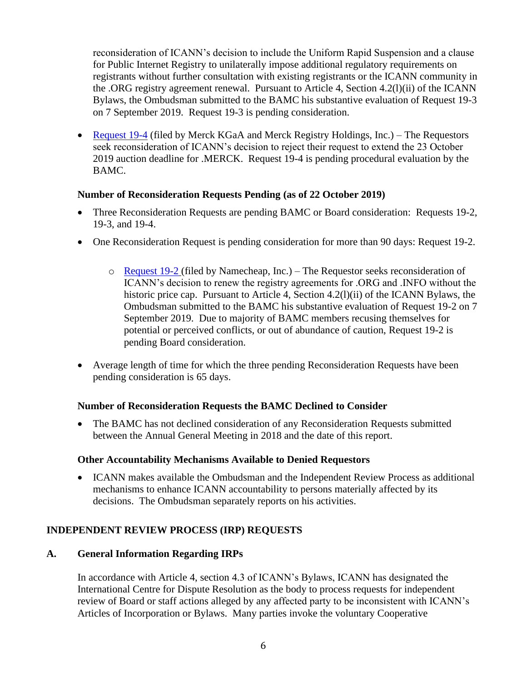reconsideration of ICANN's decision to include the Uniform Rapid Suspension and a clause for Public Internet Registry to unilaterally impose additional regulatory requirements on registrants without further consultation with existing registrants or the ICANN community in the .ORG registry agreement renewal. Pursuant to Article 4, Section 4.2(l)(ii) of the ICANN Bylaws, the Ombudsman submitted to the BAMC his substantive evaluation of Request 19-3 on 7 September 2019. Request 19-3 is pending consideration.

• [Request 19-4](https://www.icann.org/resources/pages/reconsideration-19-4-merck-kgaa-request-2019-10-15-en) (filed by Merck KGaA and Merck Registry Holdings, Inc.) – The Requestors seek reconsideration of ICANN's decision to reject their request to extend the 23 October 2019 auction deadline for .MERCK. Request 19-4 is pending procedural evaluation by the BAMC.

#### **Number of Reconsideration Requests Pending (as of 22 October 2019)**

- Three Reconsideration Requests are pending BAMC or Board consideration: Requests 19-2, 19-3, and 19-4.
- One Reconsideration Request is pending consideration for more than 90 days: Request 19-2.
	- o [Request 19-2](https://www.icann.org/resources/pages/reconsideration-19-2-namecheap-request-2019-07-22-en) (filed by Namecheap, Inc.) The Requestor seeks reconsideration of ICANN's decision to renew the registry agreements for .ORG and .INFO without the historic price cap. Pursuant to Article 4, Section 4.2(l)(ii) of the ICANN Bylaws, the Ombudsman submitted to the BAMC his substantive evaluation of Request 19-2 on 7 September 2019. Due to majority of BAMC members recusing themselves for potential or perceived conflicts, or out of abundance of caution, Request 19-2 is pending Board consideration.
- Average length of time for which the three pending Reconsideration Requests have been pending consideration is 65 days.

## **Number of Reconsideration Requests the BAMC Declined to Consider**

• The BAMC has not declined consideration of any Reconsideration Requests submitted between the Annual General Meeting in 2018 and the date of this report.

#### **Other Accountability Mechanisms Available to Denied Requestors**

• ICANN makes available the Ombudsman and the Independent Review Process as additional mechanisms to enhance ICANN accountability to persons materially affected by its decisions. The Ombudsman separately reports on his activities.

## **INDEPENDENT REVIEW PROCESS (IRP) REQUESTS**

## **A. General Information Regarding IRPs**

In accordance with Article 4, section 4.3 of ICANN's Bylaws, ICANN has designated the International Centre for Dispute Resolution as the body to process requests for independent review of Board or staff actions alleged by any affected party to be inconsistent with ICANN's Articles of Incorporation or Bylaws. Many parties invoke the voluntary Cooperative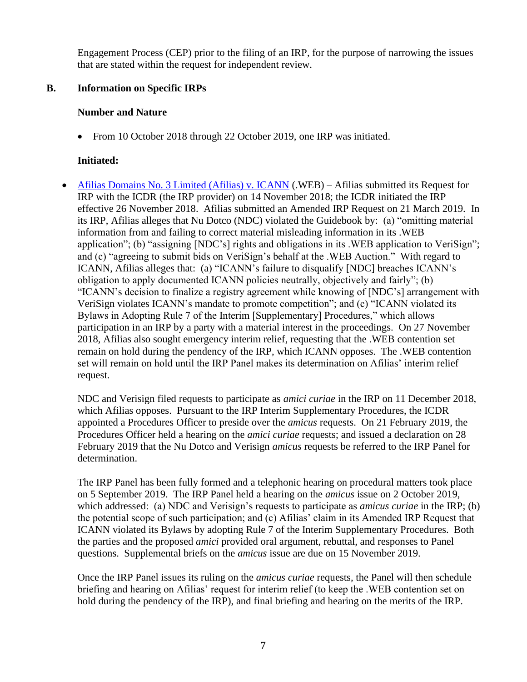Engagement Process (CEP) prior to the filing of an IRP, for the purpose of narrowing the issues that are stated within the request for independent review.

## **B. Information on Specific IRPs**

## **Number and Nature**

• From 10 October 2018 through 22 October 2019, one IRP was initiated.

# **Initiated:**

• [Afilias Domains No. 3 Limited \(Afilias\) v. ICANN](https://www.icann.org/resources/pages/irp-afilias-v-icann-2018-11-30-en) (.WEB) – Afilias submitted its Request for IRP with the ICDR (the IRP provider) on 14 November 2018; the ICDR initiated the IRP effective 26 November 2018. Afilias submitted an Amended IRP Request on 21 March 2019. In its IRP, Afilias alleges that Nu Dotco (NDC) violated the Guidebook by: (a) "omitting material information from and failing to correct material misleading information in its .WEB application"; (b) "assigning [NDC's] rights and obligations in its .WEB application to VeriSign"; and (c) "agreeing to submit bids on VeriSign's behalf at the .WEB Auction." With regard to ICANN, Afilias alleges that: (a) "ICANN's failure to disqualify [NDC] breaches ICANN's obligation to apply documented ICANN policies neutrally, objectively and fairly"; (b) "ICANN's decision to finalize a registry agreement while knowing of [NDC's] arrangement with VeriSign violates ICANN's mandate to promote competition"; and (c) "ICANN violated its Bylaws in Adopting Rule 7 of the Interim [Supplementary] Procedures," which allows participation in an IRP by a party with a material interest in the proceedings. On 27 November 2018, Afilias also sought emergency interim relief, requesting that the .WEB contention set remain on hold during the pendency of the IRP, which ICANN opposes. The .WEB contention set will remain on hold until the IRP Panel makes its determination on Afilias' interim relief request.

NDC and Verisign filed requests to participate as *amici curiae* in the IRP on 11 December 2018, which Afilias opposes. Pursuant to the IRP Interim Supplementary Procedures, the ICDR appointed a Procedures Officer to preside over the *amicus* requests. On 21 February 2019, the Procedures Officer held a hearing on the *amici curiae* requests; and issued a declaration on 28 February 2019 that the Nu Dotco and Verisign *amicus* requests be referred to the IRP Panel for determination.

The IRP Panel has been fully formed and a telephonic hearing on procedural matters took place on 5 September 2019. The IRP Panel held a hearing on the *amicus* issue on 2 October 2019, which addressed: (a) NDC and Verisign's requests to participate as *amicus curiae* in the IRP; (b) the potential scope of such participation; and (c) Afilias' claim in its Amended IRP Request that ICANN violated its Bylaws by adopting Rule 7 of the Interim Supplementary Procedures. Both the parties and the proposed *amici* provided oral argument, rebuttal, and responses to Panel questions. Supplemental briefs on the *amicus* issue are due on 15 November 2019.

Once the IRP Panel issues its ruling on the *amicus curiae* requests, the Panel will then schedule briefing and hearing on Afilias' request for interim relief (to keep the .WEB contention set on hold during the pendency of the IRP), and final briefing and hearing on the merits of the IRP.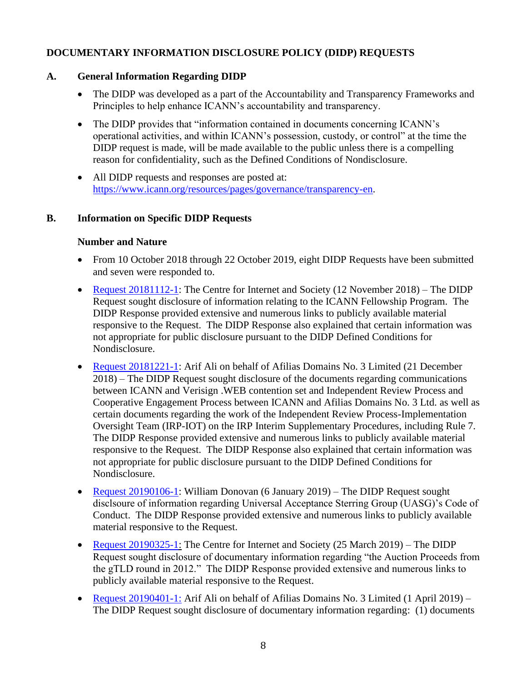# **DOCUMENTARY INFORMATION DISCLOSURE POLICY (DIDP) REQUESTS**

## **A. General Information Regarding DIDP**

- The DIDP was developed as a part of the Accountability and Transparency Frameworks and Principles to help enhance ICANN's accountability and transparency.
- The DIDP provides that "information contained in documents concerning ICANN's operational activities, and within ICANN's possession, custody, or control" at the time the DIDP request is made, will be made available to the public unless there is a compelling reason for confidentiality, such as the Defined Conditions of Nondisclosure.
- All DIDP requests and responses are posted at: [https://www.icann.org/resources/pages/governance/transparency-en.](https://www.icann.org/resources/pages/governance/transparency-en)

## **B. Information on Specific DIDP Requests**

## **Number and Nature**

- From 10 October 2018 through 22 October 2019, eight DIDP Requests have been submitted and seven were responded to.
- [Request 20181112-1:](https://www.icann.org/resources/pages/didp-20181112-1-bopanna-request-2018-12-14-en) The Centre for Internet and Society (12 November 2018) The DIDP Request sought disclosure of information relating to the ICANN Fellowship Program. The DIDP Response provided extensive and numerous links to publicly available material responsive to the Request. The DIDP Response also explained that certain information was not appropriate for public disclosure pursuant to the DIDP Defined Conditions for Nondisclosure.
- [Request 20181221-1:](https://www.icann.org/resources/pages/didp-20181221-1-ali-request-2019-01-24-en) Arif Ali on behalf of Afilias Domains No. 3 Limited (21 December 2018) – The DIDP Request sought disclosure of the documents regarding communications between ICANN and Verisign .WEB contention set and Independent Review Process and Cooperative Engagement Process between ICANN and Afilias Domains No. 3 Ltd. as well as certain documents regarding the work of the Independent Review Process-Implementation Oversight Team (IRP-IOT) on the IRP Interim Supplementary Procedures, including Rule 7. The DIDP Response provided extensive and numerous links to publicly available material responsive to the Request. The DIDP Response also explained that certain information was not appropriate for public disclosure pursuant to the DIDP Defined Conditions for Nondisclosure.
- [Request 20190106-1:](https://www.icann.org/resources/pages/didp-20190106-1-donovan-request-2019-02-07-en) William Donovan (6 January 2019) The DIDP Request sought disclsoure of information regarding Universal Acceptance Sterring Group (UASG)'s Code of Conduct. The DIDP Response provided extensive and numerous links to publicly available material responsive to the Request.
- [Request 20190325-1:](https://www.icann.org/resources/pages/didp-20190325-1-bopanna-request-2019-05-06-en) The Centre for Internet and Society (25 March 2019) The DIDP Request sought disclosure of documentary information regarding "the Auction Proceeds from the gTLD round in 2012." The DIDP Response provided extensive and numerous links to publicly available material responsive to the Request.
- [Request 20190401-1:](https://www.icann.org/resources/pages/didp-20190401-1-ali-request-2019-05-03-en) Arif Ali on behalf of Afilias Domains No. 3 Limited (1 April 2019) The DIDP Request sought disclosure of documentary information regarding: (1) documents